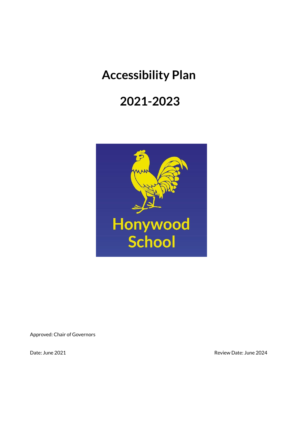# **Accessibility Plan**

## **2021-2023**



Approved: Chair of Governors

Date: June 2021 **Date: June 2024**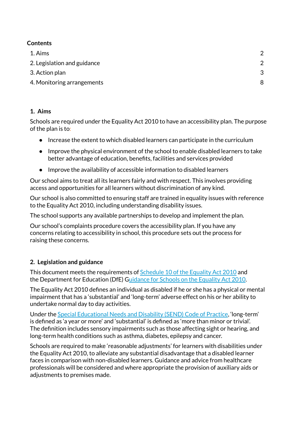#### **Contents**

| 8 |
|---|
|   |

#### **1. Aims**

Schools are required under the Equality Act 2010 to have an accessibility plan. The purpose of the plan is to:

- Increase the extent to which disabled learners can participate in the curriculum
- Improve the physical environment of the school to enable disabled learners to take better advantage of education, benefits, facilities and services provided
- Improve the availability of accessible information to disabled learners

Our school aims to treat all its learners fairly and with respect. This involves providing access and opportunities for all learners without discrimination of any kind.

Our school is also committed to ensuring staff are trained in equality issues with reference to the Equality Act 2010, including understanding disability issues.

The school supports any available partnerships to develop and implement the plan.

Our school's complaints procedure covers the accessibility plan. If you have any concerns relating to accessibility in school, this procedure sets out the process for raising these concerns.

#### **2. Legislation and guidance**

This document meets the requirements of Schedule 10 of the Equality Act 2010 and the Department for Education (DfE) Guidance for Schools on the Equality Act 2010.

The Equality Act 2010 defines an individual as disabled if he or she has a physical or mental impairment that has a 'substantial' and 'long-term' adverse effect on his or her ability to undertake normal day to day activities.

Under the Special Educational Needs and Disability (SEND) Code of Practice, 'long-term' is defined as 'a year or more' and 'substantial' is defined as 'more than minor or trivial'. The definition includes sensory impairments such as those affecting sight or hearing, and long-term health conditions such as asthma, diabetes, epilepsy and cancer.

Schools are required to make 'reasonable adjustments' for learners with disabilities under the Equality Act 2010, to alleviate any substantial disadvantage that a disabled learner faces in comparison with non-disabled learners. Guidance and advice from healthcare professionals will be considered and where appropriate the provision of auxiliary aids or adjustments to premises made.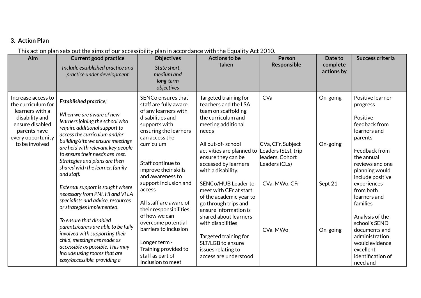#### **3. Action Plan**

### This action plan sets out the aims of our accessibility plan in accordance with the Equality Act 2010.

| Aim                                                                                                                                                     | <b>Current good practice</b><br>Include established practice and<br>practice under development                                                                                                                                        | <b>Objectives</b><br>State short,<br>medium and<br>long-term<br>objectives                                                                                        | <b>Actions to be</b><br>taken                                                                                                                                               | Person<br>Responsible                                               | Date to<br>complete<br>actions by | Success criteria                                                                                      |  |  |  |                                                                                                                                                                         |               |         |                                                                                          |
|---------------------------------------------------------------------------------------------------------------------------------------------------------|---------------------------------------------------------------------------------------------------------------------------------------------------------------------------------------------------------------------------------------|-------------------------------------------------------------------------------------------------------------------------------------------------------------------|-----------------------------------------------------------------------------------------------------------------------------------------------------------------------------|---------------------------------------------------------------------|-----------------------------------|-------------------------------------------------------------------------------------------------------|--|--|--|-------------------------------------------------------------------------------------------------------------------------------------------------------------------------|---------------|---------|------------------------------------------------------------------------------------------|
| Increase access to<br>the curriculum for<br>learners with a<br>disability and<br>ensure disabled<br>parents have<br>every opportunity<br>to be involved | <b>Established practice;</b><br>When we are aware of new<br>learners joining the school who<br>require additional support to<br>access the curriculum and/or<br>building/site we ensure meetings<br>are held with relevant key people | SENCo ensures that<br>staff are fully aware<br>of any learners with<br>disabilities and<br>supports with<br>ensuring the learners<br>can access the<br>curriculum | Targeted training for<br>teachers and the LSA<br>team on scaffolding<br>the curriculum and<br>meeting additional<br>needs<br>All out-of-school<br>activities are planned to | CVa<br>CVa, CFr, Subject<br>Leaders (SLs), trip                     | On-going<br>On-going              | Positive learner<br>progress<br>Positive<br>feedback from<br>learners and<br>parents<br>Feedback from |  |  |  |                                                                                                                                                                         |               |         |                                                                                          |
|                                                                                                                                                         | to ensure their needs are met.<br>Strategies and plans are then<br>shared with the learner, family<br>and staff.                                                                                                                      | Staff continue to<br>improve their skills<br>and awareness to                                                                                                     | ensure they can be<br>leaders, Cohort<br>accessed by learners<br>Leaders (CLs)<br>with a disability.                                                                        | the annual<br>reviews and one<br>planning would<br>include positive |                                   |                                                                                                       |  |  |  |                                                                                                                                                                         |               |         |                                                                                          |
|                                                                                                                                                         | External support is sought where<br>necessary from PNI, HI and VI LA<br>specialists and advice, resources<br>or strategies implemented.<br>To ensure that disabled                                                                    | support inclusion and<br>access<br>All staff are aware of<br>their responsibilities<br>of how we can<br>overcome potential                                        |                                                                                                                                                                             |                                                                     |                                   |                                                                                                       |  |  |  | SENCo/HUB Leader to<br>meet with CFr at start<br>of the academic year to<br>go through trips and<br>ensure information is<br>shared about learners<br>with disabilities | CVa, MWo, CFr | Sept 21 | experiences<br>from both<br>learners and<br>families<br>Analysis of the<br>school's SEND |
|                                                                                                                                                         | parents/carers are able to be fully<br>involved with supporting their<br>child, meetings are made as<br>accessible as possible. This may<br>include using rooms that are<br>easy/accessible, providing a                              | barriers to inclusion<br>Longer term -<br>Training provided to<br>staff as part of<br>Inclusion to meet                                                           | Targeted training for<br>SLT/LGB to ensure<br>issues relating to<br>access are understood                                                                                   | CVa, MWo                                                            | On-going                          | documents and<br>administration<br>would evidence<br>excellent<br>identification of<br>need and       |  |  |  |                                                                                                                                                                         |               |         |                                                                                          |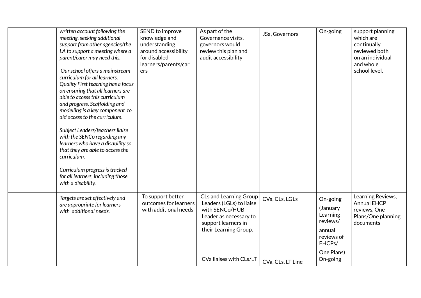| written account following the<br>meeting, seeking additional<br>support from other agencies/the<br>LA to support a meeting where a<br>parent/carer may need this.<br>Our school offers a mainstream<br>curriculum for all learners.<br>Quality First teaching has a focus<br>on ensuring that all learners are<br>able to access this curriculum<br>and progress. Scaffolding and<br>modelling is a key component to<br>aid access to the curriculum.<br>Subject Leaders/teachers liaise<br>with the SENCo regarding any<br>learners who have a disability so<br>that they are able to access the<br>curriculum.<br>Curriculum progress is tracked<br>for all learners, including those<br>with a disability. | SEND to improve<br>knowledge and<br>understanding<br>around accessibility<br>for disabled<br>learners/parents/car<br>ers | As part of the<br>Governance visits,<br>governors would<br>review this plan and<br>audit accessibility                                                                           | JSa, Governors                      | On-going                                                                                                 | support planning<br>which are<br>continually<br>reviewed both<br>on an individual<br>and whole<br>school level. |
|---------------------------------------------------------------------------------------------------------------------------------------------------------------------------------------------------------------------------------------------------------------------------------------------------------------------------------------------------------------------------------------------------------------------------------------------------------------------------------------------------------------------------------------------------------------------------------------------------------------------------------------------------------------------------------------------------------------|--------------------------------------------------------------------------------------------------------------------------|----------------------------------------------------------------------------------------------------------------------------------------------------------------------------------|-------------------------------------|----------------------------------------------------------------------------------------------------------|-----------------------------------------------------------------------------------------------------------------|
| Targets are set effectively and<br>are appropriate for learners<br>with additional needs.                                                                                                                                                                                                                                                                                                                                                                                                                                                                                                                                                                                                                     | To support better<br>outcomes for learners<br>with additional needs                                                      | <b>CLs and Learning Group</b><br>Leaders (LGLs) to liaise<br>with SENCo/HUB<br>Leader as necessary to<br>support learners in<br>their Learning Group.<br>CVa liaises with CLs/LT | CVa, CLs, LGLs<br>CVa, CLs, LT Line | On-going<br>(January<br>Learning<br>reviews/<br>annual<br>reviews of<br>EHCPs/<br>One Plans)<br>On-going | Learning Reviews,<br><b>Annual EHCP</b><br>reviews, One<br>Plans/One planning<br>documents                      |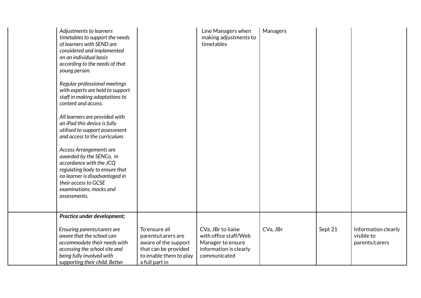| Adjustments to learners<br>timetables to support the needs<br>of learners with SEND are<br>considered and implemented<br>on an individual basis<br>according to the needs of that<br>young person.<br>Regular professional meetings<br>with experts are held to support<br>staff in making adaptations to<br>content and access.<br>All learners are provided with<br>an iPad this device is fully<br>utilised to support assessment<br>and access to the curriculum.<br>Access Arrangements are<br>awarded by the SENCo, in<br>accordance with the JCQ<br>regulating body to ensure that<br>no learner is disadvantaged in<br>their access to GCSE<br>examinations, mocks and<br>assessments. |                                                                  | Line Managers when<br>making adjustments to<br>timetables        | Managers |         |                                                     |
|------------------------------------------------------------------------------------------------------------------------------------------------------------------------------------------------------------------------------------------------------------------------------------------------------------------------------------------------------------------------------------------------------------------------------------------------------------------------------------------------------------------------------------------------------------------------------------------------------------------------------------------------------------------------------------------------|------------------------------------------------------------------|------------------------------------------------------------------|----------|---------|-----------------------------------------------------|
| Practice under development;<br>Ensuring parents/carers are<br>aware that the school can<br>accommodate their needs with                                                                                                                                                                                                                                                                                                                                                                                                                                                                                                                                                                        | To ensure all<br>parents/carers are<br>aware of the support      | CVa, JBr to liaise<br>with office staff/Web<br>Manager to ensure | CVa, JBr | Sept 21 | Information clearly<br>visible to<br>parents/carers |
| accessing the school site and<br>being fully involved with<br>supporting their child. Better                                                                                                                                                                                                                                                                                                                                                                                                                                                                                                                                                                                                   | that can be provided<br>to enable them to play<br>a full part in | information is clearly<br>communicated                           |          |         |                                                     |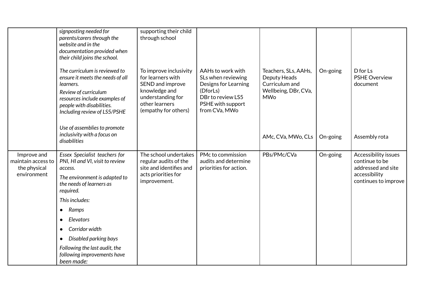|                                                                  | signposting needed for<br>parents/carers through the<br>website and in the<br>documentation provided when<br>their child joins the school.                                                           | supporting their child<br>through school                                                                                                        |                                                                                                                                        |                                                                                              |          |                                                                                                       |
|------------------------------------------------------------------|------------------------------------------------------------------------------------------------------------------------------------------------------------------------------------------------------|-------------------------------------------------------------------------------------------------------------------------------------------------|----------------------------------------------------------------------------------------------------------------------------------------|----------------------------------------------------------------------------------------------|----------|-------------------------------------------------------------------------------------------------------|
|                                                                  | The curriculum is reviewed to<br>ensure it meets the needs of all<br>learners.<br>Review of curriculum<br>resources include examples of<br>people with disabilities.<br>Including review of LS5/PSHE | To improve inclusivity<br>for learners with<br>SEND and improve<br>knowledge and<br>understanding for<br>other learners<br>(empathy for others) | AAHs to work with<br>SLs when reviewing<br>Designs for Learning<br>(DforLs)<br>DBr to review LS5<br>PSHE with support<br>from CVa, MWo | Teachers, SLs, AAHs,<br>Deputy Heads<br>Curriculum and<br>Wellbeing, DBr, CVa,<br><b>MWo</b> | On-going | D for Ls<br><b>PSHE Overview</b><br>document                                                          |
|                                                                  | Use of assemblies to promote<br>inclusivity with a focus on<br>disabilities                                                                                                                          |                                                                                                                                                 |                                                                                                                                        | AMc, CVa, MWo, CLs                                                                           | On-going | Assembly rota                                                                                         |
| Improve and<br>maintain access to<br>the physical<br>environment | Essex Specialist teachers for<br>PNI, HI and VI, visit to review<br>access.<br>The environment is adapted to<br>the needs of learners as<br>required.                                                | The school undertakes<br>regular audits of the<br>site and identifies and<br>acts priorities for<br>improvement.                                | PMc to commission<br>audits and determine<br>priorities for action.                                                                    | PBs/PMc/CVa                                                                                  | On-going | Accessibility issues<br>continue to be<br>addressed and site<br>accessibility<br>continues to improve |
|                                                                  | This includes:                                                                                                                                                                                       |                                                                                                                                                 |                                                                                                                                        |                                                                                              |          |                                                                                                       |
|                                                                  | Ramps                                                                                                                                                                                                |                                                                                                                                                 |                                                                                                                                        |                                                                                              |          |                                                                                                       |
|                                                                  | Elevators<br>$\bullet$                                                                                                                                                                               |                                                                                                                                                 |                                                                                                                                        |                                                                                              |          |                                                                                                       |
|                                                                  | Corridor width<br>$\bullet$                                                                                                                                                                          |                                                                                                                                                 |                                                                                                                                        |                                                                                              |          |                                                                                                       |
|                                                                  | Disabled parking bays<br>$\bullet$                                                                                                                                                                   |                                                                                                                                                 |                                                                                                                                        |                                                                                              |          |                                                                                                       |
|                                                                  | Following the last audit, the<br>following improvements have<br>been made:                                                                                                                           |                                                                                                                                                 |                                                                                                                                        |                                                                                              |          |                                                                                                       |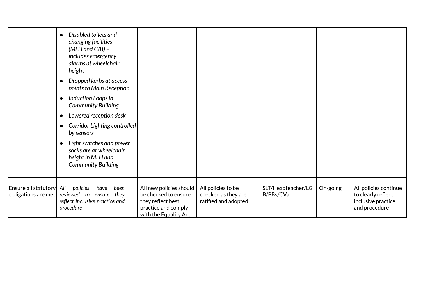|                                                  | Disabled toilets and<br>$\bullet$<br>changing facilities<br>$(MLH$ and $C/B$ ) –<br>includes emergency<br>alarms at wheelchair<br>height<br>Dropped kerbs at access<br>$\bullet$<br>points to Main Reception<br>Induction Loops in<br>$\bullet$<br><b>Community Building</b><br>Lowered reception desk<br>$\bullet$<br>Corridor Lighting controlled<br>$\bullet$<br>by sensors<br>Light switches and power<br>$\bullet$<br>socks are at wheelchair<br>height in MLH and<br><b>Community Building</b> |                                                                                                                      |                                                                   |                                 |          |                                                                                    |
|--------------------------------------------------|------------------------------------------------------------------------------------------------------------------------------------------------------------------------------------------------------------------------------------------------------------------------------------------------------------------------------------------------------------------------------------------------------------------------------------------------------------------------------------------------------|----------------------------------------------------------------------------------------------------------------------|-------------------------------------------------------------------|---------------------------------|----------|------------------------------------------------------------------------------------|
| Ensure all statutory  All<br>obligations are met | policies<br>been<br>have<br>reviewed to<br>ensure they<br>reflect inclusive practice and<br>procedure                                                                                                                                                                                                                                                                                                                                                                                                | All new policies should<br>be checked to ensure<br>they reflect best<br>practice and comply<br>with the Equality Act | All policies to be<br>checked as they are<br>ratified and adopted | SLT/Headteacher/LG<br>B/PBs/CVa | On-going | All policies continue<br>to clearly reflect<br>inclusive practice<br>and procedure |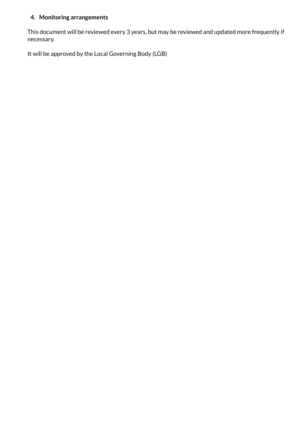#### **4. Monitoring arrangements**

This document will be reviewed every 3 years, but may be reviewed and updated more frequently if necessary.

It will be approved by the Local Governing Body (LGB)